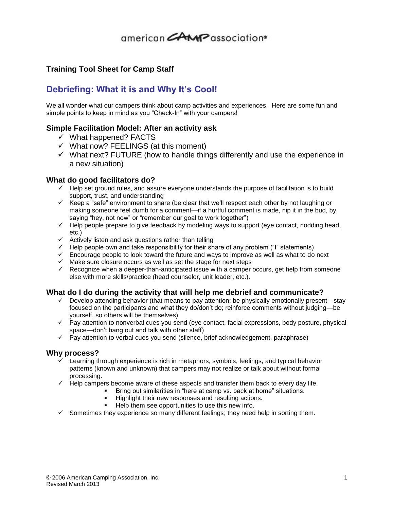# american CAMP association®

### **Training Tool Sheet for Camp Staff**

### **Debriefing: What it is and Why It's Cool!**

We all wonder what our campers think about camp activities and experiences. Here are some fun and simple points to keep in mind as you "Check-In" with your campers!

#### **Simple Facilitation Model: After an activity ask**

- $\checkmark$  What happened? FACTS
- $\checkmark$  What now? FEELINGS (at this moment)
- $\checkmark$  What next? FUTURE (how to handle things differently and use the experience in a new situation)

#### **What do good facilitators do?**

- $\checkmark$  Help set ground rules, and assure everyone understands the purpose of facilitation is to build support, trust, and understanding
- $\checkmark$  Keep a "safe" environment to share (be clear that we'll respect each other by not laughing or making someone feel dumb for a comment—if a hurtful comment is made, nip it in the bud, by saying "hey, not now" or "remember our goal to work together")
- $\checkmark$  Help people prepare to give feedback by modeling ways to support (eye contact, nodding head, etc.)
- $\checkmark$  Actively listen and ask questions rather than telling
- $\checkmark$  Help people own and take responsibility for their share of any problem ("I" statements)
- $\checkmark$  Encourage people to look toward the future and ways to improve as well as what to do next
- $\checkmark$  Make sure closure occurs as well as set the stage for next steps
- $\checkmark$  Recognize when a deeper-than-anticipated issue with a camper occurs, get help from someone else with more skills/practice (head counselor, unit leader, etc.).

#### **What do I do during the activity that will help me debrief and communicate?**

- $\checkmark$  Develop attending behavior (that means to pay attention; be physically emotionally present—stay focused on the participants and what they do/don't do; reinforce comments without judging—be yourself, so others will be themselves)
- $\checkmark$  Pay attention to nonverbal cues you send (eye contact, facial expressions, body posture, physical space—don't hang out and talk with other staff)
- $\checkmark$  Pay attention to verbal cues you send (silence, brief acknowledgement, paraphrase)

#### **Why process?**

- $\checkmark$  Learning through experience is rich in metaphors, symbols, feelings, and typical behavior patterns (known and unknown) that campers may not realize or talk about without formal processing.
- $\checkmark$  Help campers become aware of these aspects and transfer them back to every day life.
	- Bring out similarities in "here at camp vs. back at home" situations.
		- Highlight their new responses and resulting actions.
		- Help them see opportunities to use this new info.
- $\checkmark$  Sometimes they experience so many different feelings; they need help in sorting them.